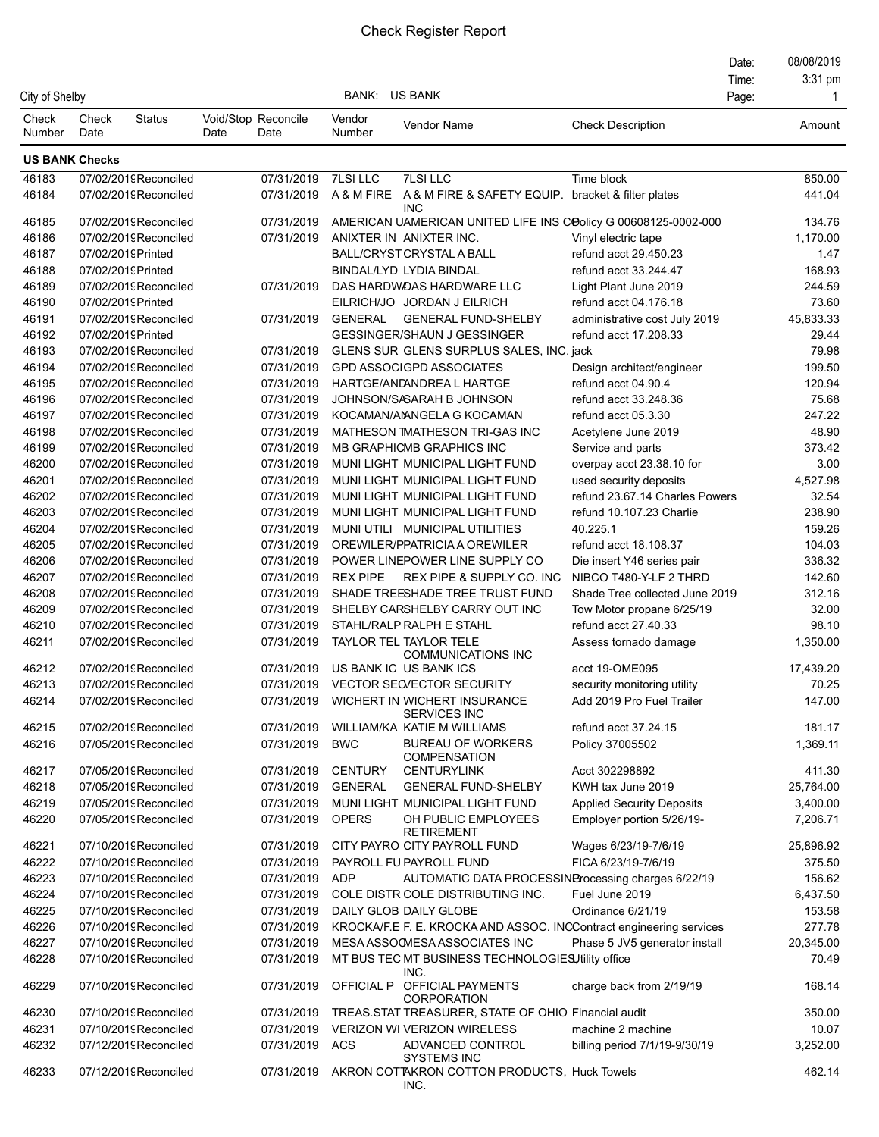## Check Register Report

|                 |                       |                       |      |                             |                      |                                                                              |                                  | Date:<br>Time: | 08/08/2019<br>3:31 pm |
|-----------------|-----------------------|-----------------------|------|-----------------------------|----------------------|------------------------------------------------------------------------------|----------------------------------|----------------|-----------------------|
| City of Shelby  |                       |                       |      |                             | <b>BANK: US BANK</b> |                                                                              |                                  | Page:          |                       |
| Check<br>Number | Check<br>Date         | <b>Status</b>         | Date | Void/Stop Reconcile<br>Date | Vendor<br>Number     | Vendor Name                                                                  | <b>Check Description</b>         |                | Amount                |
|                 | <b>US BANK Checks</b> |                       |      |                             |                      |                                                                              |                                  |                |                       |
| 46183           |                       | 07/02/2019Reconciled  |      | 07/31/2019                  | <b>7LSI LLC</b>      | <b>7LSILLC</b>                                                               | Time block                       |                | 850.00                |
| 46184           |                       | 07/02/2019Reconciled  |      | 07/31/2019                  |                      | A & M FIRE A & M FIRE & SAFETY EQUIP.                                        | bracket & filter plates          |                | 441.04                |
| 46185           |                       | 07/02/2019Reconciled  |      | 07/31/2019                  |                      | <b>INC</b><br>AMERICAN UAMERICAN UNITED LIFE INS COolicy G 00608125-0002-000 |                                  |                | 134.76                |
| 46186           |                       | 07/02/2019Reconciled  |      | 07/31/2019                  |                      | ANIXTER IN ANIXTER INC.                                                      | Vinyl electric tape              |                | 1,170.00              |
| 46187           |                       | 07/02/2019 Printed    |      |                             |                      | <b>BALL/CRYST CRYSTAL A BALL</b>                                             | refund acct 29.450.23            |                | 1.47                  |
| 46188           |                       | 07/02/2019 Printed    |      |                             |                      | BINDAL/LYD LYDIA BINDAL                                                      | refund acct 33.244.47            |                | 168.93                |
| 46189           |                       | 07/02/2019Reconciled  |      | 07/31/2019                  |                      | DAS HARDWOAS HARDWARE LLC                                                    | Light Plant June 2019            |                | 244.59                |
| 46190           | 07/02/2019 Printed    |                       |      |                             |                      | EILRICH/JO JORDAN J EILRICH                                                  | refund acct 04.176.18            |                | 73.60                 |
| 46191           |                       | 07/02/2019Reconciled  |      | 07/31/2019                  | GENERAL              | <b>GENERAL FUND-SHELBY</b>                                                   | administrative cost July 2019    |                | 45,833.33             |
| 46192           |                       | 07/02/2019 Printed    |      |                             |                      | <b>GESSINGER/SHAUN J GESSINGER</b>                                           | refund acct 17.208.33            |                | 29.44                 |
| 46193           |                       | 07/02/2019 Reconciled |      | 07/31/2019                  |                      | GLENS SUR GLENS SURPLUS SALES, INC. jack                                     |                                  |                | 79.98                 |
| 46194           |                       | 07/02/2019Reconciled  |      | 07/31/2019                  |                      | <b>GPD ASSOCIGPD ASSOCIATES</b>                                              | Design architect/engineer        |                | 199.50                |
| 46195           |                       | 07/02/2019Reconciled  |      | 07/31/2019                  |                      | HARTGE/ANDANDREAL HARTGE                                                     | refund acct 04.90.4              |                | 120.94                |
| 46196           |                       | 07/02/2019Reconciled  |      | 07/31/2019                  |                      | JOHNSON/SASARAH B JOHNSON                                                    | refund acct 33.248.36            |                | 75.68                 |
| 46197           |                       | 07/02/2019Reconciled  |      | 07/31/2019                  |                      | KOCAMAN/AMNGELA G KOCAMAN                                                    | refund acct 05.3.30              |                | 247.22                |
| 46198           |                       | 07/02/2019Reconciled  |      | 07/31/2019                  |                      | MATHESON TMATHESON TRI-GAS INC                                               | Acetylene June 2019              |                | 48.90                 |
| 46199           |                       | 07/02/2019Reconciled  |      | 07/31/2019                  |                      | <b>MB GRAPHICMB GRAPHICS INC</b>                                             | Service and parts                |                | 373.42                |
| 46200           |                       | 07/02/2019Reconciled  |      | 07/31/2019                  |                      | MUNI LIGHT MUNICIPAL LIGHT FUND                                              | overpay acct 23.38.10 for        |                | 3.00                  |
| 46201           |                       | 07/02/2019 Reconciled |      | 07/31/2019                  |                      | MUNI LIGHT MUNICIPAL LIGHT FUND                                              | used security deposits           |                | 4,527.98              |
| 46202           |                       | 07/02/2019Reconciled  |      | 07/31/2019                  |                      | MUNI LIGHT MUNICIPAL LIGHT FUND                                              | refund 23.67.14 Charles Powers   |                | 32.54                 |
| 46203           |                       | 07/02/2019Reconciled  |      | 07/31/2019                  |                      | MUNI LIGHT MUNICIPAL LIGHT FUND                                              | refund 10.107.23 Charlie         |                | 238.90                |
| 46204           |                       | 07/02/2019Reconciled  |      | 07/31/2019                  |                      | MUNI UTILI MUNICIPAL UTILITIES                                               | 40.225.1                         |                | 159.26                |
| 46205           |                       | 07/02/2019Reconciled  |      | 07/31/2019                  |                      | OREWILER/PPATRICIA A OREWILER                                                | refund acct 18.108.37            |                | 104.03                |
| 46206           |                       | 07/02/2019Reconciled  |      | 07/31/2019                  |                      | POWER LINEPOWER LINE SUPPLY CO                                               | Die insert Y46 series pair       |                | 336.32                |
| 46207           |                       | 07/02/2019Reconciled  |      | 07/31/2019                  | <b>REX PIPE</b>      | REX PIPE & SUPPLY CO. INC                                                    | NIBCO T480-Y-LF 2 THRD           |                | 142.60                |
| 46208           |                       | 07/02/2019Reconciled  |      | 07/31/2019                  |                      | SHADE TREESHADE TREE TRUST FUND                                              | Shade Tree collected June 2019   |                | 312.16                |
| 46209           |                       | 07/02/2019Reconciled  |      | 07/31/2019                  |                      | SHELBY CARSHELBY CARRY OUT INC                                               | Tow Motor propane 6/25/19        |                | 32.00                 |
| 46210           |                       | 07/02/2019Reconciled  |      | 07/31/2019                  |                      | STAHL/RALP RALPH E STAHL                                                     | refund acct 27.40.33             |                | 98.10                 |
| 46211           |                       | 07/02/2019Reconciled  |      | 07/31/2019                  |                      | <b>TAYLOR TEL TAYLOR TELE</b><br><b>COMMUNICATIONS INC</b>                   | Assess tornado damage            |                | 1,350.00              |
| 46212           |                       | 07/02/2019Reconciled  |      | 07/31/2019                  |                      | US BANK IC US BANK ICS                                                       | acct 19-OME095                   |                | 17,439.20             |
| 46213           |                       | 07/02/2019Reconciled  |      | 07/31/2019                  |                      | <b>VECTOR SECVECTOR SECURITY</b>                                             | security monitoring utility      |                | 70.25                 |
| 46214           |                       | 07/02/2019Reconciled  |      | 07/31/2019                  |                      | WICHERT IN WICHERT INSURANCE<br><b>SERVICES INC</b>                          | Add 2019 Pro Fuel Trailer        |                | 147.00                |
| 46215           |                       | 07/02/2019Reconciled  |      | 07/31/2019                  |                      | WILLIAM/KA KATIE M WILLIAMS                                                  | refund acct 37.24.15             |                | 181.17                |
| 46216           |                       | 07/05/2019Reconciled  |      | 07/31/2019                  | <b>BWC</b>           | <b>BUREAU OF WORKERS</b><br><b>COMPENSATION</b>                              | Policy 37005502                  |                | 1,369.11              |
| 46217           |                       | 07/05/2019Reconciled  |      | 07/31/2019                  | <b>CENTURY</b>       | <b>CENTURYLINK</b>                                                           | Acct 302298892                   |                | 411.30                |
| 46218           |                       | 07/05/2019Reconciled  |      | 07/31/2019                  | <b>GENERAL</b>       | <b>GENERAL FUND-SHELBY</b>                                                   | KWH tax June 2019                |                | 25,764.00             |
| 46219           |                       | 07/05/2019Reconciled  |      | 07/31/2019                  |                      | MUNI LIGHT MUNICIPAL LIGHT FUND                                              | <b>Applied Security Deposits</b> |                | 3,400.00              |
| 46220           |                       | 07/05/2019Reconciled  |      | 07/31/2019                  | <b>OPERS</b>         | OH PUBLIC EMPLOYEES<br><b>RETIREMENT</b>                                     | Employer portion 5/26/19-        |                | 7,206.71              |
| 46221           |                       | 07/10/2019Reconciled  |      | 07/31/2019                  |                      | CITY PAYRO CITY PAYROLL FUND                                                 | Wages 6/23/19-7/6/19             |                | 25,896.92             |
| 46222           |                       | 07/10/2019Reconciled  |      | 07/31/2019                  |                      | PAYROLL FU PAYROLL FUND                                                      | FICA 6/23/19-7/6/19              |                | 375.50                |
| 46223           |                       | 07/10/2019Reconciled  |      | 07/31/2019                  | <b>ADP</b>           | AUTOMATIC DATA PROCESSINBrocessing charges 6/22/19                           |                                  |                | 156.62                |
| 46224           |                       | 07/10/2019Reconciled  |      | 07/31/2019                  |                      | COLE DISTR COLE DISTRIBUTING INC.                                            | Fuel June 2019                   |                | 6,437.50              |
| 46225           |                       | 07/10/2019Reconciled  |      | 07/31/2019                  |                      | DAILY GLOB DAILY GLOBE                                                       | Ordinance 6/21/19                |                | 153.58                |
| 46226           |                       | 07/10/2019Reconciled  |      | 07/31/2019                  |                      | KROCKA/F.E F. E. KROCKA AND ASSOC. INCContract engineering services          |                                  |                | 277.78                |
| 46227           |                       | 07/10/2019Reconciled  |      | 07/31/2019                  |                      | MESA ASSOCMESA ASSOCIATES INC                                                | Phase 5 JV5 generator install    |                | 20,345.00             |
| 46228           |                       | 07/10/2019Reconciled  |      | 07/31/2019                  |                      | MT BUS TEC MT BUSINESS TECHNOLOGIES Utility office<br>INC.                   |                                  |                | 70.49                 |
| 46229           |                       | 07/10/2019Reconciled  |      | 07/31/2019                  |                      | OFFICIAL P OFFICIAL PAYMENTS<br><b>CORPORATION</b>                           | charge back from 2/19/19         |                | 168.14                |
| 46230           |                       | 07/10/2019Reconciled  |      | 07/31/2019                  |                      | TREAS STAT TREASURER, STATE OF OHIO Financial audit                          |                                  |                | 350.00                |
| 46231           |                       | 07/10/2019Reconciled  |      | 07/31/2019                  |                      | <b>VERIZON WI VERIZON WIRELESS</b>                                           | machine 2 machine                |                | 10.07                 |
| 46232           |                       | 07/12/2019Reconciled  |      | 07/31/2019                  | ACS                  | ADVANCED CONTROL                                                             | billing period 7/1/19-9/30/19    |                | 3,252.00              |
| 46233           |                       | 07/12/2019Reconciled  |      | 07/31/2019                  |                      | <b>SYSTEMS INC</b><br>AKRON COTTAKRON COTTON PRODUCTS, Huck Towels<br>INC.   |                                  |                | 462.14                |